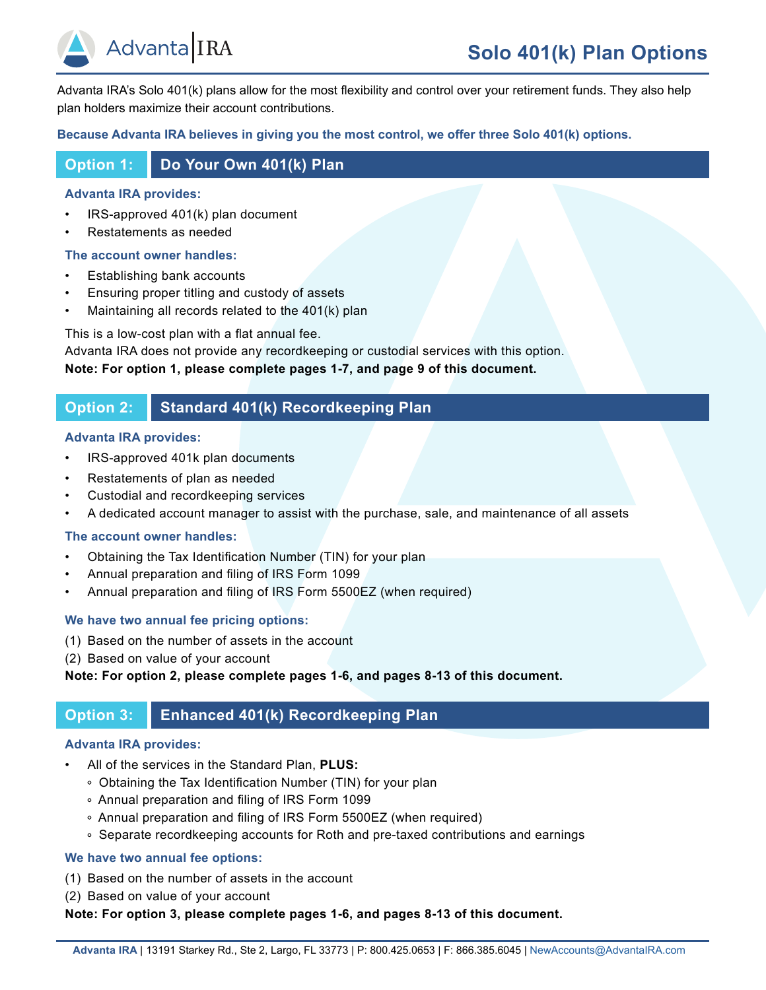

Advanta IRA's Solo 401(k) plans allow for the most flexibility and control over your retirement funds. They also help plan holders maximize their account contributions.

## **Because Advanta IRA believes in giving you the most control, we offer three Solo 401(k) options.**

## **Option 1: Do Your Own 401(k) Plan**

## **Advanta IRA provides:**

- IRS-approved 401(k) plan document
- Restatements as needed

## **The account owner handles:**

- Establishing bank accounts
- Ensuring proper titling and custody of assets
- Maintaining all records related to the 401(k) plan

This is a low-cost plan with a flat annual fee.

Advanta IRA does not provide any recordkeeping or custodial services with this option. **Note: For option 1, please complete pages 1-7, and page 9 of this document.** 

## **Option 2: Standard 401(k) Recordkeeping Plan**

## **Advanta IRA provides:**

- IRS-approved 401k plan documents
- Restatements of plan as needed
- Custodial and recordkeeping services
- A dedicated account manager to assist with the purchase, sale, and maintenance of all assets

## **The account owner handles:**

- Obtaining the Tax Identification Number (TIN) for your plan
- Annual preparation and filing of IRS Form 1099
- Annual preparation and filing of IRS Form 5500EZ (when required)

## **We have two annual fee pricing options:**

- (1) Based on the number of assets in the account
- (2) Based on value of your account

## **Note: For option 2, please complete pages 1-6, and pages 8-13 of this document.**

## **Option 3: Enhanced 401(k) Recordkeeping Plan**

## **Advanta IRA provides:**

- All of the services in the Standard Plan, **PLUS:**
	- Obtaining the Tax Identification Number (TIN) for your plan
	- Annual preparation and filing of IRS Form 1099
	- Annual preparation and filing of IRS Form 5500EZ (when required)
	- Separate recordkeeping accounts for Roth and pre-taxed contributions and earnings

## **We have two annual fee options:**

- (1) Based on the number of assets in the account
- (2) Based on value of your account

**Note: For option 3, please complete pages 1-6, and pages 8-13 of this document.**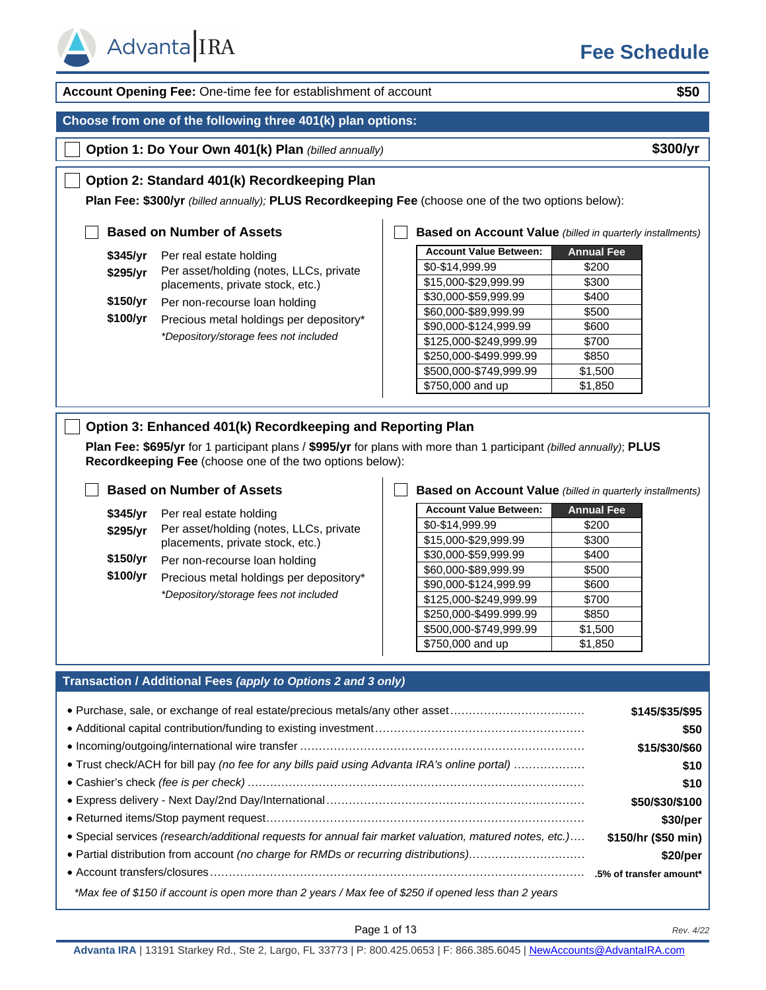

**Account Opening Fee:** One-time fee for establishment of account **\$50 Choose from one of the following three 401(k) plan options: Option 1: Do Your Own 401(k) Plan** *(billed annually)* **\$300/yr Option 2: Standard 401(k) Recordkeeping Plan Plan Fee: \$300/yr** *(billed annually);* **PLUS Recordkeeping Fee** (choose one of the two options below): **Based on Number of Assets \$345/yr** Per real estate holding **\$295/yr** Per asset/holding (notes, LLCs, private placements, private stock, etc.) **\$150/yr** Per non-recourse loan holding **\$100/yr** Precious metal holdings per depository\* *\*Depository/storage fees not included* **Account Value Between: Annual Fee**  $$0-$14,999.99$   $$200$  $$15,000 - $29,999.99$  \$300  $$30,000-$59,999.99$  | \$400 \$60,000-\$89,999.99 | \$500 \$90,000-\$124,999.99 \$600  $$125,000-S249,999.99$  \ \$700 \$250,000-\$499.999.99 | \$850  $$500,000-S749,999.99$  | \$1,500 \$750,000 and up  $\left| \right|$  \$1,850 **Based on Account Value** *(billed in quarterly installments)* **Option 3: Enhanced 401(k) Recordkeeping and Reporting Plan Plan Fee: \$695/yr** for 1 participant plans / **\$995/yr** for plans with more than 1 participant *(billed annually)*; **PLUS Recordkeeping Fee** (choose one of the two options below): **Based on Number of Assets \$345/yr** Per real estate holding **\$295/yr** Per asset/holding (notes, LLCs, private placements, private stock, etc.) **\$150/yr** Per non-recourse loan holding **\$100/yr** Precious metal holdings per depository\* *\*Depository/storage fees not included* **Account Value Between: Annual Fee**  $$0-$14.999.99$  \$200  $$15,000 - $29,999.99$   $$300$ \$30,000-\$59,999.99 | \$400 \$60,000-\$89,999.99 | \$500 \$90,000-\$124,999.99 | \$600  $$125,000-S249,999.99$  | \$700  $$250,000-$499.999.99$   $$850$  $$500,000-S749,999.99$  | \$1,500 **Based on Account Value** *(billed in quarterly installments)*

### **Transaction / Additional Fees** *(apply to Options 2 and 3 only)*

| • Purchase, sale, or exchange of real estate/precious metals/any other asset                            | \$145/\$35/\$95     |
|---------------------------------------------------------------------------------------------------------|---------------------|
|                                                                                                         | \$50                |
|                                                                                                         | \$15/\$30/\$60      |
| • Trust check/ACH for bill pay (no fee for any bills paid using Advanta IRA's online portal)            | \$10                |
|                                                                                                         | \$10                |
|                                                                                                         | \$50/\$30/\$100     |
|                                                                                                         | \$30/per            |
| • Special services (research/additional requests for annual fair market valuation, matured notes, etc.) | \$150/hr (\$50 min) |
| • Partial distribution from account (no charge for RMDs or recurring distributions)                     | \$20/per            |
|                                                                                                         |                     |
| *Max fee of \$150 if account is open more than 2 years / Max fee of \$250 if opened less than 2 years   |                     |

 $$750,000$  and up  $$1,850$ 

Page 1 of 13 *Rev. 4/22*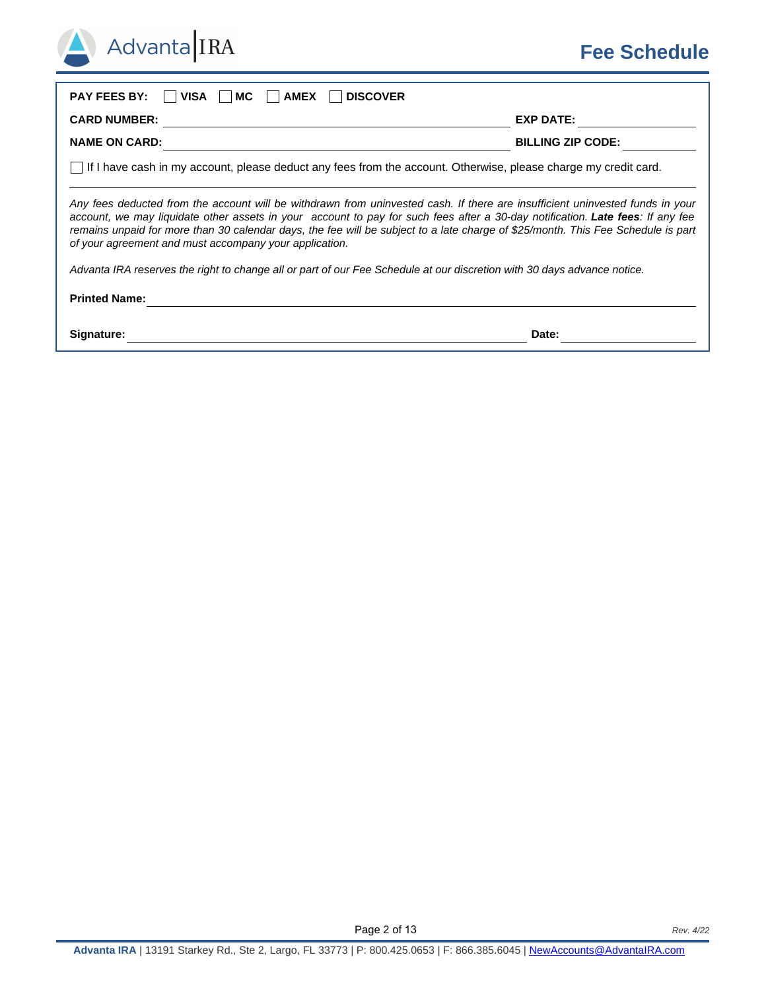## **Fee Schedule**

| <b>PAY FEES BY:</b><br><b>AMEX</b><br><b>DISCOVER</b><br>VISA<br>МC                                                                                                                                                                                                                                                                                                                                                                                           |                          |  |  |  |
|---------------------------------------------------------------------------------------------------------------------------------------------------------------------------------------------------------------------------------------------------------------------------------------------------------------------------------------------------------------------------------------------------------------------------------------------------------------|--------------------------|--|--|--|
| <b>CARD NUMBER:</b>                                                                                                                                                                                                                                                                                                                                                                                                                                           | <b>EXP DATE:</b>         |  |  |  |
| <b>NAME ON CARD:</b>                                                                                                                                                                                                                                                                                                                                                                                                                                          | <b>BILLING ZIP CODE:</b> |  |  |  |
| If I have cash in my account, please deduct any fees from the account. Otherwise, please charge my credit card.                                                                                                                                                                                                                                                                                                                                               |                          |  |  |  |
| Any fees deducted from the account will be withdrawn from uninvested cash. If there are insufficient uninvested funds in your<br>account, we may liquidate other assets in your account to pay for such fees after a 30-day notification. Late fees: If any fee<br>remains unpaid for more than 30 calendar days, the fee will be subject to a late charge of \$25/month. This Fee Schedule is part<br>of your agreement and must accompany your application. |                          |  |  |  |
| Advanta IRA reserves the right to change all or part of our Fee Schedule at our discretion with 30 days advance notice.                                                                                                                                                                                                                                                                                                                                       |                          |  |  |  |
| <b>Printed Name:</b>                                                                                                                                                                                                                                                                                                                                                                                                                                          |                          |  |  |  |
| Signature:                                                                                                                                                                                                                                                                                                                                                                                                                                                    | Date:                    |  |  |  |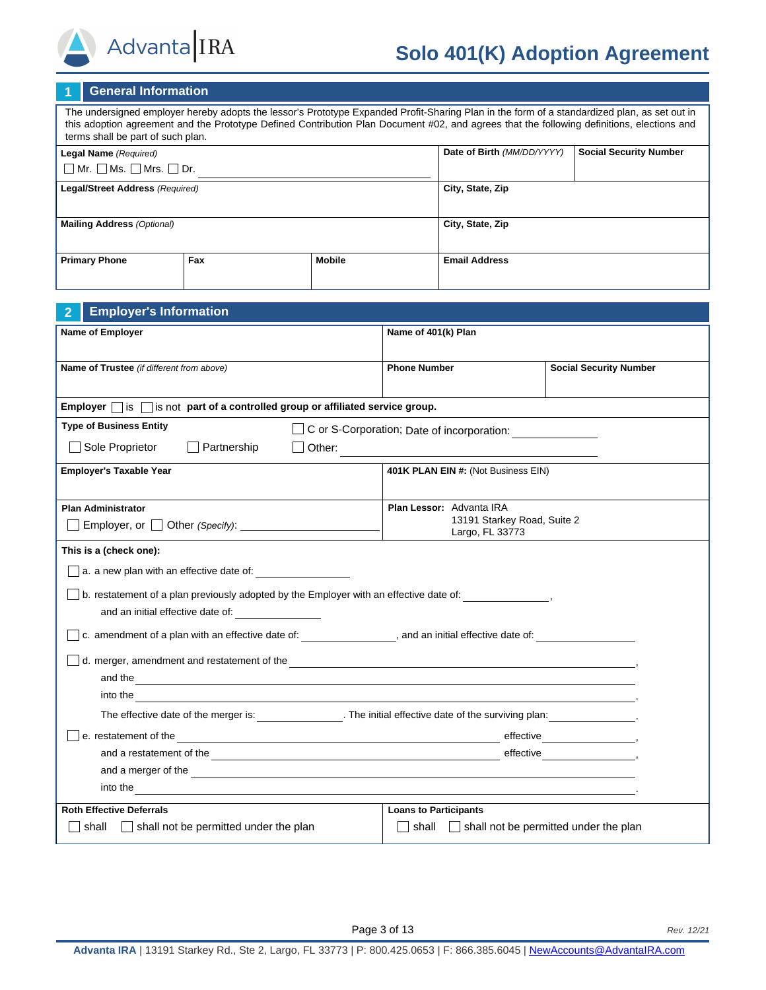

Advanta IRA

The undersigned employer hereby adopts the lessor's Prototype Expanded Profit-Sharing Plan in the form of a standardized plan, as set out in this adoption agreement and the Prototype Defined Contribution Plan Document #02, and agrees that the following definitions, elections and terms shall be part of such plan.

| Legal Name (Required)                        |     |        | Date of Birth (MM/DD/YYYY) | <b>Social Security Number</b> |
|----------------------------------------------|-----|--------|----------------------------|-------------------------------|
| $\Box$ Mr. $\Box$ Ms. $\Box$ Mrs. $\Box$ Dr. |     |        |                            |                               |
| Legal/Street Address (Required)              |     |        | City, State, Zip           |                               |
|                                              |     |        |                            |                               |
| <b>Mailing Address (Optional)</b>            |     |        | City, State, Zip           |                               |
|                                              |     |        |                            |                               |
| <b>Primary Phone</b>                         | Fax | Mobile | <b>Email Address</b>       |                               |
|                                              |     |        |                            |                               |

| <b>Employer's Information</b><br>$\overline{2}$                                                                                                                                                                                      |                                                |                               |  |  |
|--------------------------------------------------------------------------------------------------------------------------------------------------------------------------------------------------------------------------------------|------------------------------------------------|-------------------------------|--|--|
| <b>Name of Employer</b>                                                                                                                                                                                                              | Name of 401(k) Plan                            |                               |  |  |
|                                                                                                                                                                                                                                      |                                                |                               |  |  |
| Name of Trustee (if different from above)                                                                                                                                                                                            | <b>Phone Number</b>                            | <b>Social Security Number</b> |  |  |
|                                                                                                                                                                                                                                      |                                                |                               |  |  |
| Employer $\Box$ is $\Box$ is not part of a controlled group or affiliated service group.                                                                                                                                             |                                                |                               |  |  |
| <b>Type of Business Entity</b>                                                                                                                                                                                                       | C or S-Corporation; Date of incorporation:     |                               |  |  |
| Sole Proprietor<br>$\Box$ Partnership<br>Other:                                                                                                                                                                                      |                                                |                               |  |  |
| <b>Employer's Taxable Year</b>                                                                                                                                                                                                       | 401K PLAN EIN #: (Not Business EIN)            |                               |  |  |
|                                                                                                                                                                                                                                      |                                                |                               |  |  |
| <b>Plan Administrator</b>                                                                                                                                                                                                            | Plan Lessor: Advanta IRA                       |                               |  |  |
| Employer, or $\vert$ $\vert$ Other <i>(Specify)</i> :                                                                                                                                                                                | 13191 Starkey Road, Suite 2<br>Largo, FL 33773 |                               |  |  |
| This is a (check one):                                                                                                                                                                                                               |                                                |                               |  |  |
| $\Box$ a. a new plan with an effective date of:                                                                                                                                                                                      |                                                |                               |  |  |
| $\Box$ b. restatement of a plan previously adopted by the Employer with an effective date of: $\Box$                                                                                                                                 |                                                |                               |  |  |
| and an initial effective date of:                                                                                                                                                                                                    |                                                |                               |  |  |
| $\Box$ c. amendment of a plan with an effective date of: ____________________, and an initial effective date of:                                                                                                                     |                                                |                               |  |  |
| d. merger, amendment and restatement of the <b>container and the container and the set of the set of the set of the set of the set of the set of the set of the set of the set of the set of the set of the set of the set of th</b> |                                                |                               |  |  |
| and the second contract of the second contract of the second contract of the second contract of the second contract of the second contract of the second contract of the second contract of the second contract of the second        |                                                |                               |  |  |
| into the contract of the contract of the contract of the contract of the contract of the contract of the contract of the contract of the contract of the contract of the contract of the contract of the contract of the contr       |                                                |                               |  |  |
| The effective date of the merger is: The initial effective date of the surviving plan:                                                                                                                                               |                                                |                               |  |  |
| e. restatement of the<br><u> 1989 - Johann Stoff, deutscher Stoff, der Stoff, der Stoff, der Stoff, der Stoff, der Stoff, der Stoff, der S</u>                                                                                       |                                                |                               |  |  |
|                                                                                                                                                                                                                                      |                                                |                               |  |  |
| and a merger of the entry and a merger of the contract of the contract of the contract of the contract of the contract of the contract of the contract of the contract of the contract of the contract of the contract of the        |                                                |                               |  |  |
| into the contract of the contract of the contract of the contract of the contract of the contract of the contract of the contract of the contract of the contract of the contract of the contract of the contract of the contr       |                                                |                               |  |  |
| <b>Roth Effective Deferrals</b>                                                                                                                                                                                                      | <b>Loans to Participants</b>                   |                               |  |  |
| $\lfloor \cdot \rfloor$ shall not be permitted under the plan<br>shall   shall not be permitted under the plan<br>shall                                                                                                              |                                                |                               |  |  |
|                                                                                                                                                                                                                                      |                                                |                               |  |  |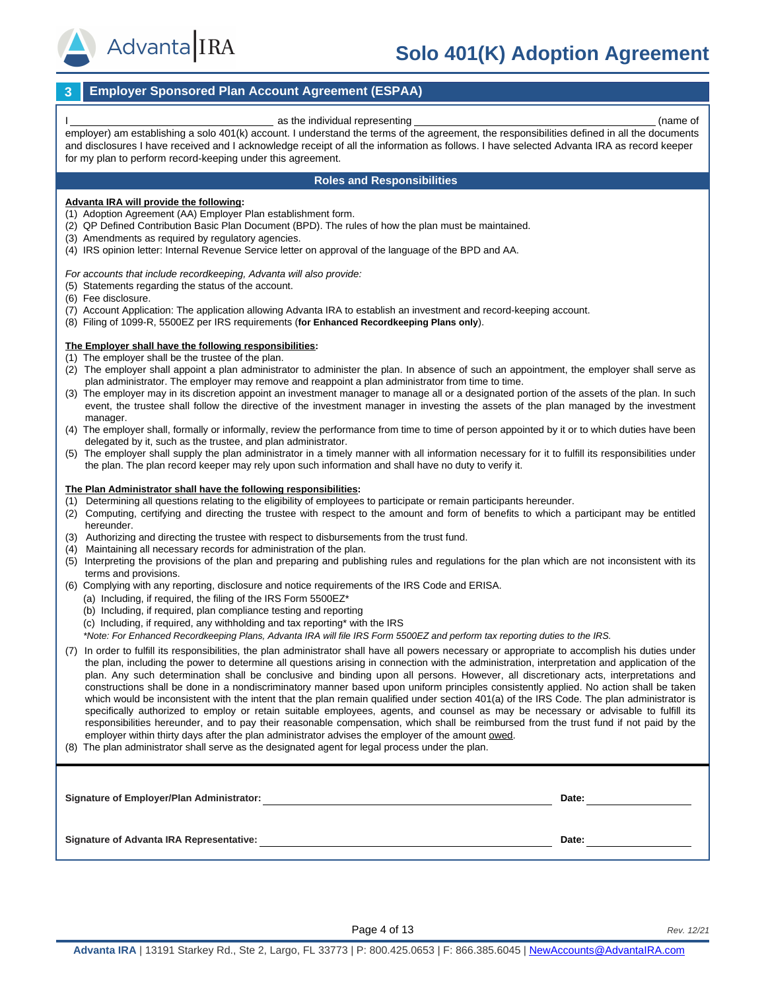

# **Solo 401(K) Adoption Agreement**

#### **3 Employer Sponsored Plan Account Agreement (ESPAA)**

as the individual representing example of  $\sim$  (name of  $\sim$ 

employer) am establishing a solo 401(k) account. I understand the terms of the agreement, the responsibilities defined in all the documents and disclosures I have received and I acknowledge receipt of all the information as follows. I have selected Advanta IRA as record keeper for my plan to perform record-keeping under this agreement.

#### **Roles and Responsibilities**

#### **Advanta IRA will provide the following:**

(1) Adoption Agreement (AA) Employer Plan establishment form.

- (2) QP Defined Contribution Basic Plan Document (BPD). The rules of how the plan must be maintained.
- (3) Amendments as required by regulatory agencies.
- (4) IRS opinion letter: Internal Revenue Service letter on approval of the language of the BPD and AA.

*For accounts that include recordkeeping, Advanta will also provide:* 

- (5) Statements regarding the status of the account.
- (6) Fee disclosure.
- (7) Account Application: The application allowing Advanta IRA to establish an investment and record-keeping account.
- (8) Filing of 1099-R, 5500EZ per IRS requirements (**for Enhanced Recordkeeping Plans only**).

#### **The Employer shall have the following responsibilities:**

- (1) The employer shall be the trustee of the plan.
- (2) The employer shall appoint a plan administrator to administer the plan. In absence of such an appointment, the employer shall serve as plan administrator. The employer may remove and reappoint a plan administrator from time to time.
- (3) The employer may in its discretion appoint an investment manager to manage all or a designated portion of the assets of the plan. In such event, the trustee shall follow the directive of the investment manager in investing the assets of the plan managed by the investment manager.
- (4) The employer shall, formally or informally, review the performance from time to time of person appointed by it or to which duties have been delegated by it, such as the trustee, and plan administrator.
- (5) The employer shall supply the plan administrator in a timely manner with all information necessary for it to fulfill its responsibilities under the plan. The plan record keeper may rely upon such information and shall have no duty to verify it.

#### **The Plan Administrator shall have the following responsibilities:**

- (1) Determining all questions relating to the eligibility of employees to participate or remain participants hereunder.
- (2) Computing, certifying and directing the trustee with respect to the amount and form of benefits to which a participant may be entitled hereunder.
- (3) Authorizing and directing the trustee with respect to disbursements from the trust fund.
- (4) Maintaining all necessary records for administration of the plan.
- (5) Interpreting the provisions of the plan and preparing and publishing rules and regulations for the plan which are not inconsistent with its terms and provisions.
- (6) Complying with any reporting, disclosure and notice requirements of the IRS Code and ERISA.
	- (a) Including, if required, the filing of the IRS Form 5500EZ\*
	- (b) Including, if required, plan compliance testing and reporting
	- (c) Including, if required, any withholding and tax reporting\* with the IRS
	- *\*Note: For Enhanced Recordkeeping Plans, Advanta IRA will file IRS Form 5500EZ and perform tax reporting duties to the IRS.*
- (7) In order to fulfill its responsibilities, the plan administrator shall have all powers necessary or appropriate to accomplish his duties under the plan, including the power to determine all questions arising in connection with the administration, interpretation and application of the plan. Any such determination shall be conclusive and binding upon all persons. However, all discretionary acts, interpretations and constructions shall be done in a nondiscriminatory manner based upon uniform principles consistently applied. No action shall be taken which would be inconsistent with the intent that the plan remain qualified under section 401(a) of the IRS Code. The plan administrator is specifically authorized to employ or retain suitable employees, agents, and counsel as may be necessary or advisable to fulfill its responsibilities hereunder, and to pay their reasonable compensation, which shall be reimbursed from the trust fund if not paid by the employer within thirty days after the plan administrator advises the employer of the amount owed.
- (8) The plan administrator shall serve as the designated agent for legal process under the plan.

| <b>Signature of Employer/Plan Administrator:</b> | Date: |
|--------------------------------------------------|-------|
| <b>Signature of Advanta IRA Representative:</b>  | Date: |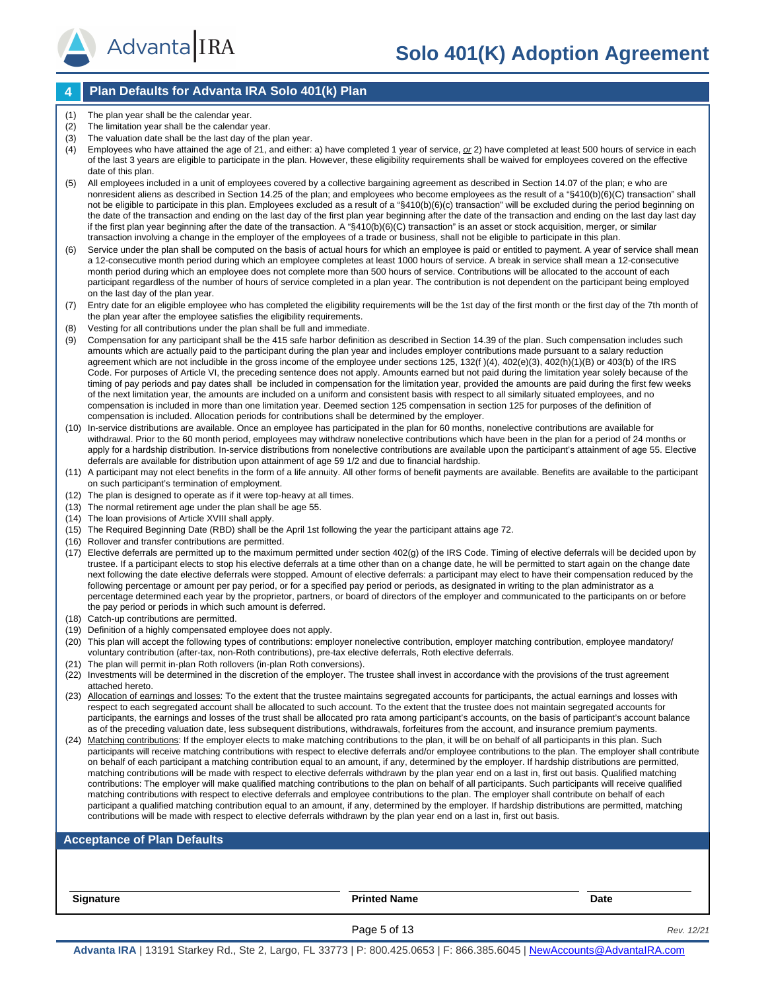### **4 Plan Defaults for Advanta IRA Solo 401(k) Plan**

- (1) The plan year shall be the calendar year.
- (2) The limitation year shall be the calendar year.

AdvantaIRA

- (3) The valuation date shall be the last day of the plan year.
- (4) Employees who have attained the age of 21, and either: a) have completed 1 year of service, *or* 2) have completed at least 500 hours of service in each of the last 3 years are eligible to participate in the plan. However, these eligibility requirements shall be waived for employees covered on the effective date of this plan.
- (5) All employees included in a unit of employees covered by a collective bargaining agreement as described in Section 14.07 of the plan; e who are nonresident aliens as described in Section 14.25 of the plan; and employees who become employees as the result of a "§410(b)(6)(C) transaction" shall not be eligible to participate in this plan. Employees excluded as a result of a "§410(b)(6)(c) transaction" will be excluded during the period beginning on the date of the transaction and ending on the last day of the first plan year beginning after the date of the transaction and ending on the last day last day if the first plan year beginning after the date of the transaction. A "§410(b)(6)(C) transaction" is an asset or stock acquisition, merger, or similar transaction involving a change in the employer of the employees of a trade or business, shall not be eligible to participate in this plan.
- (6) Service under the plan shall be computed on the basis of actual hours for which an employee is paid or entitled to payment. A year of service shall mean a 12-consecutive month period during which an employee completes at least 1000 hours of service. A break in service shall mean a 12-consecutive month period during which an employee does not complete more than 500 hours of service. Contributions will be allocated to the account of each participant regardless of the number of hours of service completed in a plan year. The contribution is not dependent on the participant being employed on the last day of the plan year.
- (7) Entry date for an eligible employee who has completed the eligibility requirements will be the 1st day of the first month or the first day of the 7th month of the plan year after the employee satisfies the eligibility requirements.
- Vesting for all contributions under the plan shall be full and immediate.
- (9) Compensation for any participant shall be the 415 safe harbor definition as described in Section 14.39 of the plan. Such compensation includes such amounts which are actually paid to the participant during the plan year and includes employer contributions made pursuant to a salary reduction agreement which are not includible in the gross income of the employee under sections 125, 132(f )(4), 402(e)(3), 402(h)(1)(B) or 403(b) of the IRS Code. For purposes of Article VI, the preceding sentence does not apply. Amounts earned but not paid during the limitation year solely because of the timing of pay periods and pay dates shall be included in compensation for the limitation year, provided the amounts are paid during the first few weeks of the next limitation year, the amounts are included on a uniform and consistent basis with respect to all similarly situated employees, and no compensation is included in more than one limitation year. Deemed section 125 compensation in section 125 for purposes of the definition of compensation is included. Allocation periods for contributions shall be determined by the employer.
- (10) In-service distributions are available. Once an employee has participated in the plan for 60 months, nonelective contributions are available for withdrawal. Prior to the 60 month period, employees may withdraw nonelective contributions which have been in the plan for a period of 24 months or apply for a hardship distribution. In-service distributions from nonelective contributions are available upon the participant's attainment of age 55. Elective deferrals are available for distribution upon attainment of age 59 1/2 and due to financial hardship.
- (11) A participant may not elect benefits in the form of a life annuity. All other forms of benefit payments are available. Benefits are available to the participant on such participant's termination of employment.
- (12) The plan is designed to operate as if it were top-heavy at all times.
- (13) The normal retirement age under the plan shall be age 55.
- (14) The loan provisions of Article XVIII shall apply.
- (15) The Required Beginning Date (RBD) shall be the April 1st following the year the participant attains age 72.
- (16) Rollover and transfer contributions are permitted.
- (17) Elective deferrals are permitted up to the maximum permitted under section 402(g) of the IRS Code. Timing of elective deferrals will be decided upon by trustee. If a participant elects to stop his elective deferrals at a time other than on a change date, he will be permitted to start again on the change date next following the date elective deferrals were stopped. Amount of elective deferrals: a participant may elect to have their compensation reduced by the following percentage or amount per pay period, or for a specified pay period or periods, as designated in writing to the plan administrator as a percentage determined each year by the proprietor, partners, or board of directors of the employer and communicated to the participants on or before the pay period or periods in which such amount is deferred.
- (18) Catch-up contributions are permitted.
- (19) Definition of a highly compensated employee does not apply.
- (20) This plan will accept the following types of contributions: employer nonelective contribution, employer matching contribution, employee mandatory/ voluntary contribution (after-tax, non-Roth contributions), pre-tax elective deferrals, Roth elective deferrals.
- (21) The plan will permit in-plan Roth rollovers (in-plan Roth conversions).
- (22) Investments will be determined in the discretion of the employer. The trustee shall invest in accordance with the provisions of the trust agreement attached hereto.
- (23) Allocation of earnings and losses: To the extent that the trustee maintains segregated accounts for participants, the actual earnings and losses with respect to each segregated account shall be allocated to such account. To the extent that the trustee does not maintain segregated accounts for participants, the earnings and losses of the trust shall be allocated pro rata among participant's accounts, on the basis of participant's account balance as of the preceding valuation date, less subsequent distributions, withdrawals, forfeitures from the account, and insurance premium payments.
- (24) Matching contributions: If the employer elects to make matching contributions to the plan, it will be on behalf of all participants in this plan. Such participants will receive matching contributions with respect to elective deferrals and/or employee contributions to the plan. The employer shall contribute on behalf of each participant a matching contribution equal to an amount, if any, determined by the employer. If hardship distributions are permitted, matching contributions will be made with respect to elective deferrals withdrawn by the plan year end on a last in, first out basis. Qualified matching contributions: The employer will make qualified matching contributions to the plan on behalf of all participants. Such participants will receive qualified matching contributions with respect to elective deferrals and employee contributions to the plan. The employer shall contribute on behalf of each participant a qualified matching contribution equal to an amount, if any, determined by the employer. If hardship distributions are permitted, matching contributions will be made with respect to elective deferrals withdrawn by the plan year end on a last in, first out basis.

#### **Acceptance of Plan Defaults**

**Signature Printed Name Date**

Page 5 of 13 *Rev. 12/21*

**Advanta IRA** | 13191 Starkey Rd., Ste 2, Largo, FL 33773 | P: 800.425.0653 | F: 866.385.6045 | [NewAccounts@AdvantaIRA.com](mailto:NewAccounts@AdvantaIRA.com)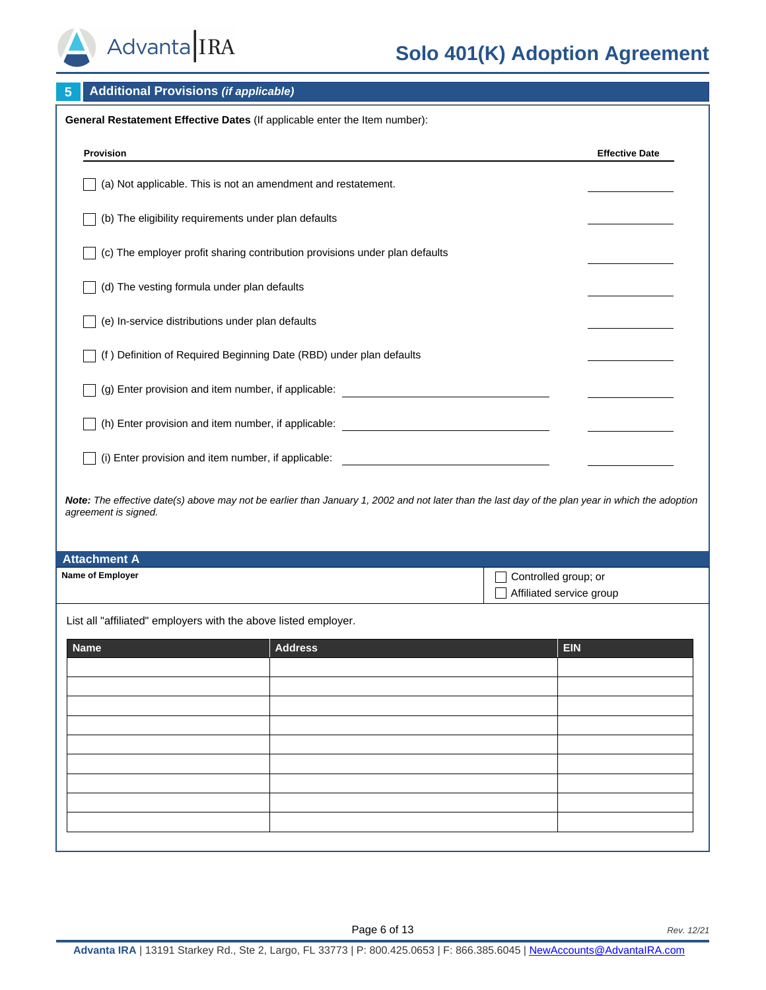

# **Solo 401(K) Adoption Agreement**

| <b>Additional Provisions (if applicable)</b><br>5                                                                                                                        |                                                                                                                     |                                                  |                       |  |  |
|--------------------------------------------------------------------------------------------------------------------------------------------------------------------------|---------------------------------------------------------------------------------------------------------------------|--------------------------------------------------|-----------------------|--|--|
|                                                                                                                                                                          | General Restatement Effective Dates (If applicable enter the Item number):                                          |                                                  |                       |  |  |
| Provision                                                                                                                                                                |                                                                                                                     |                                                  | <b>Effective Date</b> |  |  |
| (a) Not applicable. This is not an amendment and restatement.                                                                                                            |                                                                                                                     |                                                  |                       |  |  |
| (b) The eligibility requirements under plan defaults                                                                                                                     |                                                                                                                     |                                                  |                       |  |  |
|                                                                                                                                                                          | (c) The employer profit sharing contribution provisions under plan defaults                                         |                                                  |                       |  |  |
| (d) The vesting formula under plan defaults                                                                                                                              |                                                                                                                     |                                                  |                       |  |  |
| (e) In-service distributions under plan defaults                                                                                                                         |                                                                                                                     |                                                  |                       |  |  |
| (f) Definition of Required Beginning Date (RBD) under plan defaults                                                                                                      |                                                                                                                     |                                                  |                       |  |  |
|                                                                                                                                                                          | (g) Enter provision and item number, if applicable: ____________________________                                    |                                                  |                       |  |  |
|                                                                                                                                                                          | (h) Enter provision and item number, if applicable: _____________________________                                   |                                                  |                       |  |  |
| (i) Enter provision and item number, if applicable:                                                                                                                      | <u> 1989 - John Harry Harry Harry Harry Harry Harry Harry Harry Harry Harry Harry Harry Harry Harry Harry Harry</u> |                                                  |                       |  |  |
| Note: The effective date(s) above may not be earlier than January 1, 2002 and not later than the last day of the plan year in which the adoption<br>agreement is signed. |                                                                                                                     |                                                  |                       |  |  |
| <b>Attachment A</b>                                                                                                                                                      |                                                                                                                     |                                                  |                       |  |  |
| Name of Employer                                                                                                                                                         |                                                                                                                     | Controlled group; or<br>Affiliated service group |                       |  |  |
| List all "affiliated" employers with the above listed employer.                                                                                                          |                                                                                                                     |                                                  |                       |  |  |
| <b>Name</b>                                                                                                                                                              | <b>Address</b>                                                                                                      | <b>EIN</b>                                       |                       |  |  |
|                                                                                                                                                                          |                                                                                                                     |                                                  |                       |  |  |
|                                                                                                                                                                          |                                                                                                                     |                                                  |                       |  |  |
|                                                                                                                                                                          |                                                                                                                     |                                                  |                       |  |  |
|                                                                                                                                                                          |                                                                                                                     |                                                  |                       |  |  |
|                                                                                                                                                                          |                                                                                                                     |                                                  |                       |  |  |
|                                                                                                                                                                          |                                                                                                                     |                                                  |                       |  |  |
|                                                                                                                                                                          |                                                                                                                     |                                                  |                       |  |  |
|                                                                                                                                                                          |                                                                                                                     |                                                  |                       |  |  |
|                                                                                                                                                                          |                                                                                                                     |                                                  |                       |  |  |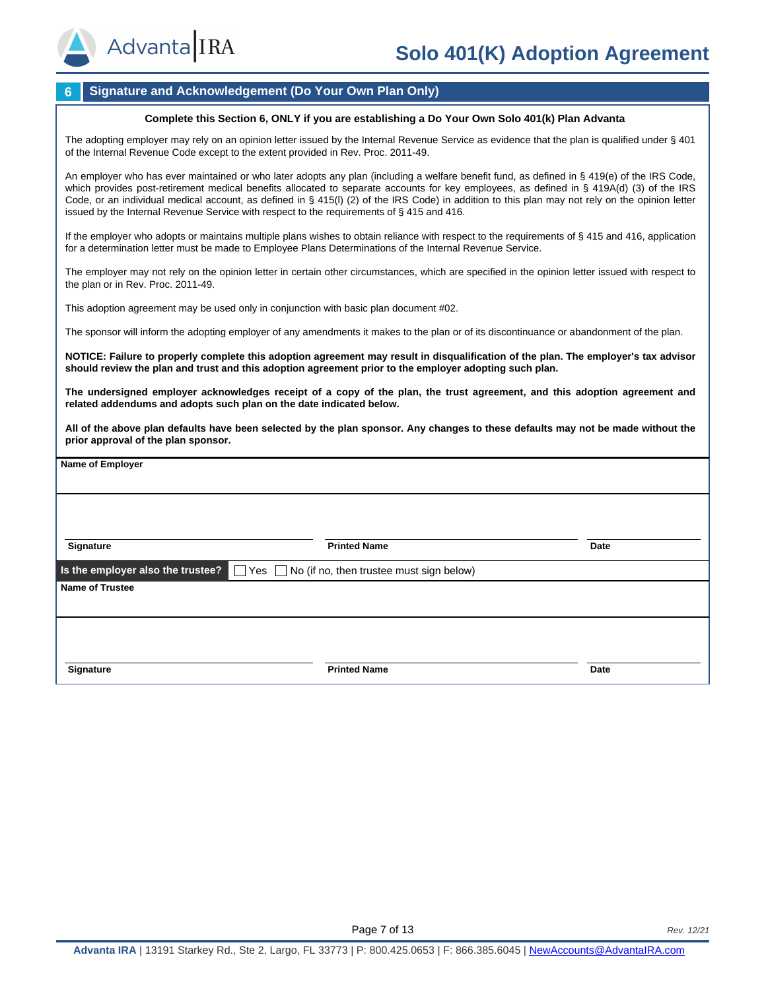

#### **6 Signature and Acknowledgement (Do Your Own Plan Only)**

#### **Complete this Section 6, ONLY if you are establishing a Do Your Own Solo 401(k) Plan Advanta**

The adopting employer may rely on an opinion letter issued by the Internal Revenue Service as evidence that the plan is qualified under § 401 of the Internal Revenue Code except to the extent provided in Rev. Proc. 2011-49.

An employer who has ever maintained or who later adopts any plan (including a welfare benefit fund, as defined in § 419(e) of the IRS Code, which provides post-retirement medical benefits allocated to separate accounts for key employees, as defined in § 419A(d) (3) of the IRS Code, or an individual medical account, as defined in § 415(l) (2) of the IRS Code) in addition to this plan may not rely on the opinion letter issued by the Internal Revenue Service with respect to the requirements of § 415 and 416.

If the employer who adopts or maintains multiple plans wishes to obtain reliance with respect to the requirements of  $\S$  415 and 416, application for a determination letter must be made to Employee Plans Determinations of the Internal Revenue Service.

The employer may not rely on the opinion letter in certain other circumstances, which are specified in the opinion letter issued with respect to the plan or in Rev. Proc. 2011-49.

This adoption agreement may be used only in conjunction with basic plan document #02.

The sponsor will inform the adopting employer of any amendments it makes to the plan or of its discontinuance or abandonment of the plan.

**NOTICE: Failure to properly complete this adoption agreement may result in disqualification of the plan. The employer's tax advisor should review the plan and trust and this adoption agreement prior to the employer adopting such plan.** 

**The undersigned employer acknowledges receipt of a copy of the plan, the trust agreement, and this adoption agreement and related addendums and adopts such plan on the date indicated below.** 

**All of the above plan defaults have been selected by the plan sponsor. Any changes to these defaults may not be made without the prior approval of the plan sponsor.**

| Name of Employer                                                                             |                     |             |  |  |
|----------------------------------------------------------------------------------------------|---------------------|-------------|--|--|
|                                                                                              |                     |             |  |  |
|                                                                                              |                     |             |  |  |
|                                                                                              |                     |             |  |  |
| Signature                                                                                    | <b>Printed Name</b> | Date        |  |  |
| Is the employer also the trustee? $\Box$ Yes $\Box$ No (if no, then trustee must sign below) |                     |             |  |  |
| <b>Name of Trustee</b>                                                                       |                     |             |  |  |
|                                                                                              |                     |             |  |  |
|                                                                                              |                     |             |  |  |
|                                                                                              |                     |             |  |  |
| Signature                                                                                    | <b>Printed Name</b> | <b>Date</b> |  |  |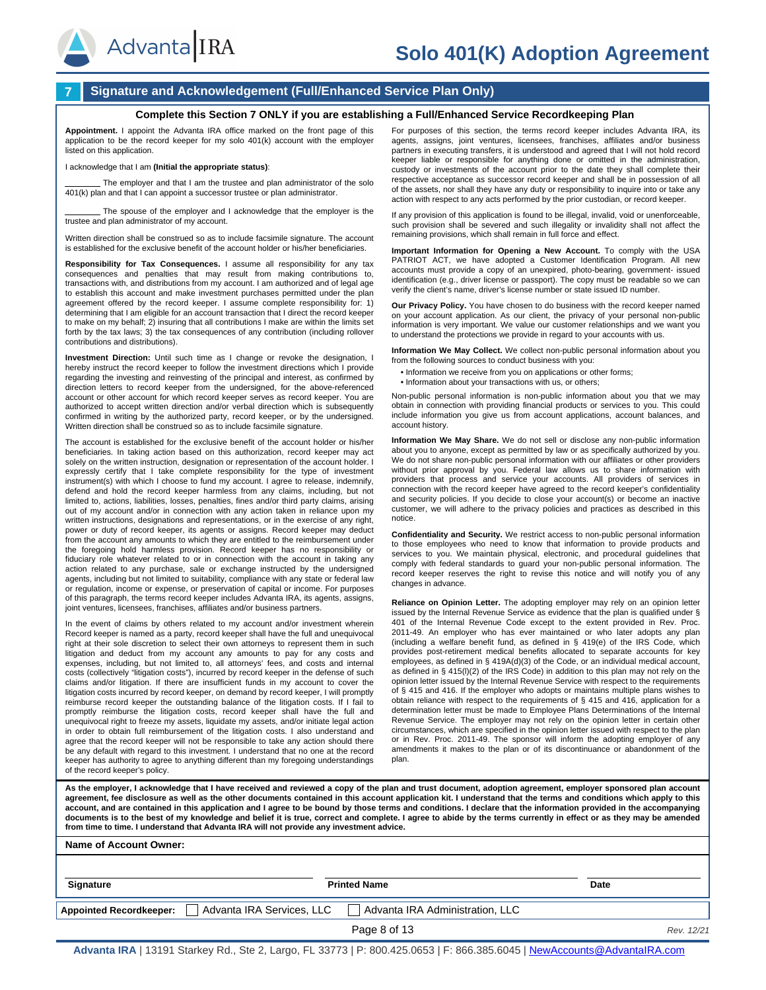



#### **7 Signature and Acknowledgement (Full/Enhanced Service Plan Only)**

#### **Complete this Section 7 ONLY if you are establishing a Full/Enhanced Service Recordkeeping Plan**

**Appointment.** I appoint the Advanta IRA office marked on the front page of this application to be the record keeper for my solo 401(k) account with the employer listed on this application.

#### I acknowledge that I am **(Initial the appropriate status)**:

The employer and that I am the trustee and plan administrator of the solo 401(k) plan and that I can appoint a successor trustee or plan administrator.

The spouse of the employer and I acknowledge that the employer is the trustee and plan administrator of my account.

Written direction shall be construed so as to include facsimile signature. The account is established for the exclusive benefit of the account holder or his/her beneficiaries.

**Responsibility for Tax Consequences.** I assume all responsibility for any tax consequences and penalties that may result from making contributions to, transactions with, and distributions from my account. I am authorized and of legal age to establish this account and make investment purchases permitted under the plan agreement offered by the record keeper. I assume complete responsibility for: 1) determining that I am eligible for an account transaction that I direct the record keeper to make on my behalf; 2) insuring that all contributions I make are within the limits set forth by the tax laws; 3) the tax consequences of any contribution (including rollover contributions and distributions).

**Investment Direction:** Until such time as I change or revoke the designation, I hereby instruct the record keeper to follow the investment directions which I provide regarding the investing and reinvesting of the principal and interest, as confirmed by direction letters to record keeper from the undersigned, for the above-referenced account or other account for which record keeper serves as record keeper. You are authorized to accept written direction and/or verbal direction which is subsequently confirmed in writing by the authorized party, record keeper, or by the undersigned. Written direction shall be construed so as to include facsimile signature.

The account is established for the exclusive benefit of the account holder or his/her beneficiaries. In taking action based on this authorization, record keeper may act solely on the written instruction, designation or representation of the account holder. I expressly certify that I take complete responsibility for the type of investment instrument(s) with which I choose to fund my account. I agree to release, indemnify, defend and hold the record keeper harmless from any claims, including, but not limited to, actions, liabilities, losses, penalties, fines and/or third party claims, arising out of my account and/or in connection with any action taken in reliance upon my written instructions, designations and representations, or in the exercise of any right, power or duty of record keeper, its agents or assigns. Record keeper may deduct from the account any amounts to which they are entitled to the reimbursement under the foregoing hold harmless provision. Record keeper has no responsibility or fiduciary role whatever related to or in connection with the account in taking any action related to any purchase, sale or exchange instructed by the undersigned agents, including but not limited to suitability, compliance with any state or federal law or regulation, income or expense, or preservation of capital or income. For purposes of this paragraph, the terms record keeper includes Advanta IRA, its agents, assigns, joint ventures, licensees, franchises, affiliates and/or business partners.

In the event of claims by others related to my account and/or investment wherein Record keeper is named as a party, record keeper shall have the full and unequivocal right at their sole discretion to select their own attorneys to represent them in such litigation and deduct from my account any amounts to pay for any costs and expenses, including, but not limited to, all attorneys' fees, and costs and internal costs (collectively "litigation costs"), incurred by record keeper in the defense of such claims and/or litigation. If there are insufficient funds in my account to cover the litigation costs incurred by record keeper, on demand by record keeper, I will promptly reimburse record keeper the outstanding balance of the litigation costs. If I fail to promptly reimburse the litigation costs, record keeper shall have the full and unequivocal right to freeze my assets, liquidate my assets, and/or initiate legal action in order to obtain full reimbursement of the litigation costs. I also understand and agree that the record keeper will not be responsible to take any action should there be any default with regard to this investment. I understand that no one at the record keeper has authority to agree to anything different than my foregoing understandings of the record keeper's policy.

For purposes of this section, the terms record keeper includes Advanta IRA, its agents, assigns, joint ventures, licensees, franchises, affiliates and/or business partners in executing transfers, it is understood and agreed that I will not hold record keeper liable or responsible for anything done or omitted in the administration, custody or investments of the account prior to the date they shall complete their respective acceptance as successor record keeper and shall be in possession of all of the assets, nor shall they have any duty or responsibility to inquire into or take any action with respect to any acts performed by the prior custodian, or record keeper.

If any provision of this application is found to be illegal, invalid, void or unenforceable, such provision shall be severed and such illegality or invalidity shall not affect the remaining provisions, which shall remain in full force and effect.

**Important Information for Opening a New Account.** To comply with the USA PATRIOT ACT, we have adopted a Customer Identification Program. All new accounts must provide a copy of an unexpired, photo-bearing, government- issued identification (e.g., driver license or passport). The copy must be readable so we can verify the client's name, driver's license number or state issued ID number.

**Our Privacy Policy.** You have chosen to do business with the record keeper named on your account application. As our client, the privacy of your personal non-public information is very important. We value our customer relationships and we want you to understand the protections we provide in regard to your accounts with us.

**Information We May Collect.** We collect non-public personal information about you from the following sources to conduct business with you:

- Information we receive from you on applications or other forms;
- Information about your transactions with us, or others

Non-public personal information is non-public information about you that we may obtain in connection with providing financial products or services to you. This could include information you give us from account applications, account balances, and account history.

**Information We May Share.** We do not sell or disclose any non-public information about you to anyone, except as permitted by law or as specifically authorized by you. We do not share non-public personal information with our affiliates or other providers without prior approval by you. Federal law allows us to share information with providers that process and service your accounts. All providers of services in connection with the record keeper have agreed to the record keeper's confidentiality and security policies. If you decide to close your account(s) or become an inactive customer, we will adhere to the privacy policies and practices as described in this notice.

**Confidentiality and Security.** We restrict access to non-public personal information to those employees who need to know that information to provide products and services to you. We maintain physical, electronic, and procedural guidelines that comply with federal standards to guard your non-public personal information. The record keeper reserves the right to revise this notice and will notify you of any changes in advance.

**Reliance on Opinion Letter.** The adopting employer may rely on an opinion letter issued by the Internal Revenue Service as evidence that the plan is qualified under § 401 of the Internal Revenue Code except to the extent provided in Rev. Proc. 2011-49. An employer who has ever maintained or who later adopts any plan (including a welfare benefit fund, as defined in § 419(e) of the IRS Code, which provides post-retirement medical benefits allocated to separate accounts for key employees, as defined in § 419A(d)(3) of the Code, or an individual medical account, as defined in § 415(l)(2) of the IRS Code) in addition to this plan may not rely on the opinion letter issued by the Internal Revenue Service with respect to the requirements of § 415 and 416. If the employer who adopts or maintains multiple plans wishes to obtain reliance with respect to the requirements of § 415 and 416, application for a determination letter must be made to Employee Plans Determinations of the Internal Revenue Service. The employer may not rely on the opinion letter in certain other circumstances, which are specified in the opinion letter issued with respect to the plan or in Rev. Proc. 2011-49. The sponsor will inform the adopting employer of any amendments it makes to the plan or of its discontinuance or abandonment of the plan.

As the employer, I acknowledge that I have received and reviewed a copy of the plan and trust document, adoption agreement, employer sponsored plan account **agreement, fee disclosure as well as the other documents contained in this account application kit. I understand that the terms and conditions which apply to this account, and are contained in this application and I agree to be bound by those terms and conditions. I declare that the information provided in the accompanying documents is to the best of my knowledge and belief it is true, correct and complete. I agree to abide by the terms currently in effect or as they may be amended from time to time. I understand that Advanta IRA will not provide any investment advice.**

#### **Name of Account Owner:**

| Signature                      | <b>Printed Name</b>       |                                 | Date       |  |
|--------------------------------|---------------------------|---------------------------------|------------|--|
| <b>Appointed Recordkeeper:</b> | Advanta IRA Services, LLC | Advanta IRA Administration, LLC |            |  |
|                                |                           | Page 8 of 13                    | Rev. 12/21 |  |

**Advanta IRA** | 13191 Starkey Rd., Ste 2, Largo, FL 33773 | P: 800.425.0653 | F: 866.385.6045 | [NewAccounts@AdvantaIRA.com](mailto:NewAccounts@AdvantaIRA.com)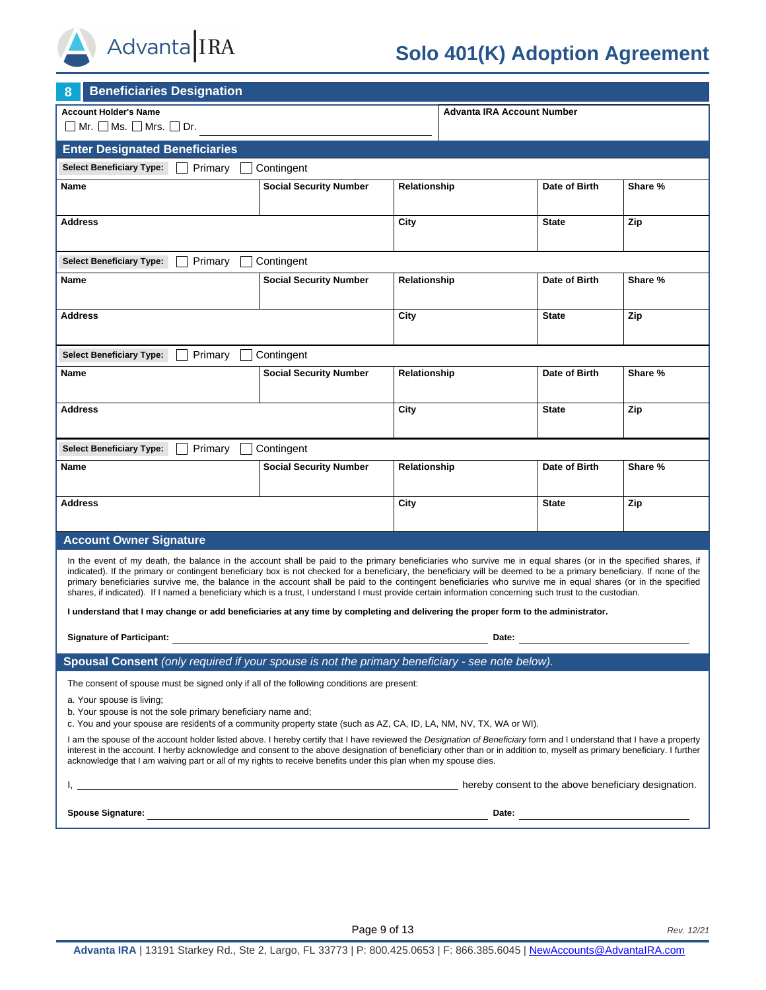

# **Solo 401(K) Adoption Agreement**

| <b>Beneficiaries Designation</b><br>8                                                                                                                                                                                                                                                                                                                                                                                                                                                                                                                                                                                                                                                                                                                                                                        |                               |              |                                   |               |         |
|--------------------------------------------------------------------------------------------------------------------------------------------------------------------------------------------------------------------------------------------------------------------------------------------------------------------------------------------------------------------------------------------------------------------------------------------------------------------------------------------------------------------------------------------------------------------------------------------------------------------------------------------------------------------------------------------------------------------------------------------------------------------------------------------------------------|-------------------------------|--------------|-----------------------------------|---------------|---------|
| <b>Account Holder's Name</b><br>$\Box$ Mr. $\Box$ Ms. $\Box$ Mrs. $\Box$ Dr.                                                                                                                                                                                                                                                                                                                                                                                                                                                                                                                                                                                                                                                                                                                                 |                               |              | <b>Advanta IRA Account Number</b> |               |         |
| <b>Enter Designated Beneficiaries</b>                                                                                                                                                                                                                                                                                                                                                                                                                                                                                                                                                                                                                                                                                                                                                                        |                               |              |                                   |               |         |
| <b>Select Beneficiary Type:</b><br>Primary                                                                                                                                                                                                                                                                                                                                                                                                                                                                                                                                                                                                                                                                                                                                                                   | Contingent                    |              |                                   |               |         |
| Name                                                                                                                                                                                                                                                                                                                                                                                                                                                                                                                                                                                                                                                                                                                                                                                                         | <b>Social Security Number</b> | Relationship |                                   | Date of Birth | Share % |
| Address                                                                                                                                                                                                                                                                                                                                                                                                                                                                                                                                                                                                                                                                                                                                                                                                      |                               | City         |                                   | <b>State</b>  | Zip     |
| <b>Select Beneficiary Type:</b><br>Primary                                                                                                                                                                                                                                                                                                                                                                                                                                                                                                                                                                                                                                                                                                                                                                   | Contingent                    |              |                                   |               |         |
| Name                                                                                                                                                                                                                                                                                                                                                                                                                                                                                                                                                                                                                                                                                                                                                                                                         | <b>Social Security Number</b> | Relationship |                                   | Date of Birth | Share % |
| <b>Address</b>                                                                                                                                                                                                                                                                                                                                                                                                                                                                                                                                                                                                                                                                                                                                                                                               |                               | City         |                                   | <b>State</b>  | Zip     |
| <b>Select Beneficiary Type:</b><br>Primary                                                                                                                                                                                                                                                                                                                                                                                                                                                                                                                                                                                                                                                                                                                                                                   | Contingent                    |              |                                   |               |         |
| Name                                                                                                                                                                                                                                                                                                                                                                                                                                                                                                                                                                                                                                                                                                                                                                                                         | <b>Social Security Number</b> | Relationship |                                   | Date of Birth | Share % |
| <b>Address</b>                                                                                                                                                                                                                                                                                                                                                                                                                                                                                                                                                                                                                                                                                                                                                                                               |                               | City         |                                   | <b>State</b>  | Zip     |
| <b>Select Beneficiary Type:</b><br>Primary                                                                                                                                                                                                                                                                                                                                                                                                                                                                                                                                                                                                                                                                                                                                                                   | Contingent                    |              |                                   |               |         |
| Name                                                                                                                                                                                                                                                                                                                                                                                                                                                                                                                                                                                                                                                                                                                                                                                                         | <b>Social Security Number</b> | Relationship |                                   | Date of Birth | Share % |
| <b>Address</b><br>City<br><b>State</b>                                                                                                                                                                                                                                                                                                                                                                                                                                                                                                                                                                                                                                                                                                                                                                       |                               |              |                                   | Zip           |         |
| <b>Account Owner Signature</b>                                                                                                                                                                                                                                                                                                                                                                                                                                                                                                                                                                                                                                                                                                                                                                               |                               |              |                                   |               |         |
| In the event of my death, the balance in the account shall be paid to the primary beneficiaries who survive me in equal shares (or in the specified shares, if<br>indicated). If the primary or contingent beneficiary box is not checked for a beneficiary, the beneficiary will be deemed to be a primary beneficiary. If none of the<br>primary beneficiaries survive me, the balance in the account shall be paid to the contingent beneficiaries who survive me in equal shares (or in the specified<br>shares, if indicated). If I named a beneficiary which is a trust, I understand I must provide certain information concerning such trust to the custodian.<br>I understand that I may change or add beneficiaries at any time by completing and delivering the proper form to the administrator. |                               |              |                                   |               |         |
| <b>Signature of Participant:</b>                                                                                                                                                                                                                                                                                                                                                                                                                                                                                                                                                                                                                                                                                                                                                                             |                               |              | Date:                             |               |         |
| Spousal Consent (only required if your spouse is not the primary beneficiary - see note below).                                                                                                                                                                                                                                                                                                                                                                                                                                                                                                                                                                                                                                                                                                              |                               |              |                                   |               |         |
| The consent of spouse must be signed only if all of the following conditions are present:<br>a. Your spouse is living;<br>b. Your spouse is not the sole primary beneficiary name and;<br>c. You and your spouse are residents of a community property state (such as AZ, CA, ID, LA, NM, NV, TX, WA or WI).<br>I am the spouse of the account holder listed above. I hereby certify that I have reviewed the Designation of Beneficiary form and I understand that I have a property<br>interest in the account. I herby acknowledge and consent to the above designation of beneficiary other than or in addition to, myself as primary beneficiary. I further<br>acknowledge that I am waiving part or all of my rights to receive benefits under this plan when my spouse dies.                          |                               |              |                                   |               |         |
| Thereby consent to the above beneficiary designation.                                                                                                                                                                                                                                                                                                                                                                                                                                                                                                                                                                                                                                                                                                                                                        |                               |              |                                   |               |         |
|                                                                                                                                                                                                                                                                                                                                                                                                                                                                                                                                                                                                                                                                                                                                                                                                              |                               |              |                                   |               |         |
|                                                                                                                                                                                                                                                                                                                                                                                                                                                                                                                                                                                                                                                                                                                                                                                                              |                               |              |                                   |               |         |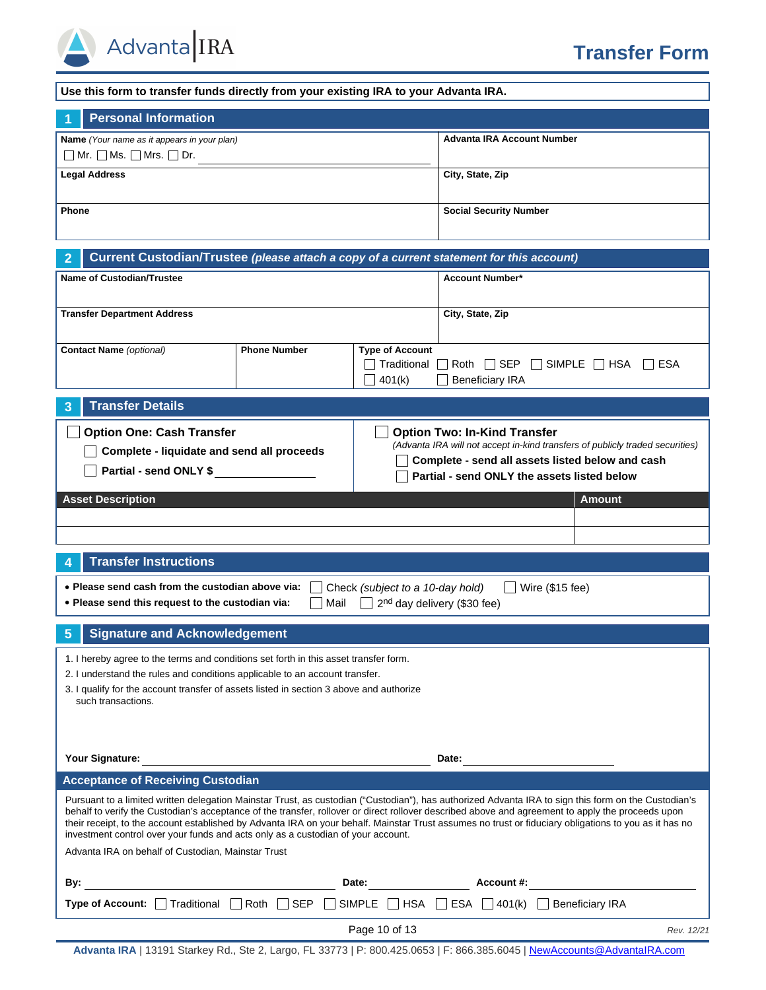

| Use this form to transfer funds directly from your existing IRA to your Advanta IRA.                                                                                                                                                                                                                                                                                                                                                                                                                                                                   |                     |                                                 |                                           |                                 |
|--------------------------------------------------------------------------------------------------------------------------------------------------------------------------------------------------------------------------------------------------------------------------------------------------------------------------------------------------------------------------------------------------------------------------------------------------------------------------------------------------------------------------------------------------------|---------------------|-------------------------------------------------|-------------------------------------------|---------------------------------|
| <b>Personal Information</b>                                                                                                                                                                                                                                                                                                                                                                                                                                                                                                                            |                     |                                                 |                                           |                                 |
| Name (Your name as it appears in your plan)<br>$\Box$ Mr. $\Box$ Ms. $\Box$ Mrs. $\Box$ Dr.                                                                                                                                                                                                                                                                                                                                                                                                                                                            |                     |                                                 | <b>Advanta IRA Account Number</b>         |                                 |
| <b>Legal Address</b>                                                                                                                                                                                                                                                                                                                                                                                                                                                                                                                                   |                     |                                                 | City, State, Zip                          |                                 |
| Phone                                                                                                                                                                                                                                                                                                                                                                                                                                                                                                                                                  |                     |                                                 | <b>Social Security Number</b>             |                                 |
|                                                                                                                                                                                                                                                                                                                                                                                                                                                                                                                                                        |                     |                                                 |                                           |                                 |
| Current Custodian/Trustee (please attach a copy of a current statement for this account)<br>2<br><b>Name of Custodian/Trustee</b>                                                                                                                                                                                                                                                                                                                                                                                                                      |                     |                                                 | <b>Account Number*</b>                    |                                 |
|                                                                                                                                                                                                                                                                                                                                                                                                                                                                                                                                                        |                     |                                                 |                                           |                                 |
| <b>Transfer Department Address</b>                                                                                                                                                                                                                                                                                                                                                                                                                                                                                                                     |                     |                                                 | City, State, Zip                          |                                 |
| <b>Contact Name</b> (optional)                                                                                                                                                                                                                                                                                                                                                                                                                                                                                                                         | <b>Phone Number</b> | <b>Type of Account</b><br>Traditional<br>401(k) | Roth $\Box$ SEP<br><b>Beneficiary IRA</b> | $\Box$ SIMPLE $\Box$ HSA<br>ESA |
| <b>Transfer Details</b><br>3                                                                                                                                                                                                                                                                                                                                                                                                                                                                                                                           |                     |                                                 |                                           |                                 |
| <b>Option One: Cash Transfer</b><br><b>Option Two: In-Kind Transfer</b><br>(Advanta IRA will not accept in-kind transfers of publicly traded securities)<br>Complete - liquidate and send all proceeds<br>Complete - send all assets listed below and cash<br>Partial - send ONLY \$<br>Partial - send ONLY the assets listed below                                                                                                                                                                                                                    |                     |                                                 |                                           |                                 |
| <b>Asset Description</b>                                                                                                                                                                                                                                                                                                                                                                                                                                                                                                                               |                     |                                                 |                                           | <b>Amount</b>                   |
|                                                                                                                                                                                                                                                                                                                                                                                                                                                                                                                                                        |                     |                                                 |                                           |                                 |
|                                                                                                                                                                                                                                                                                                                                                                                                                                                                                                                                                        |                     |                                                 |                                           |                                 |
| <b>Transfer Instructions</b><br>4                                                                                                                                                                                                                                                                                                                                                                                                                                                                                                                      |                     |                                                 |                                           |                                 |
| • Please send cash from the custodian above via:<br>. Please send this request to the custodian via:                                                                                                                                                                                                                                                                                                                                                                                                                                                   | Mail                | Check (subject to a 10-day hold)                | 2 <sup>nd</sup> day delivery (\$30 fee)   | Wire (\$15 fee)                 |
| <b>Signature and Acknowledgement</b><br>5                                                                                                                                                                                                                                                                                                                                                                                                                                                                                                              |                     |                                                 |                                           |                                 |
| 1. I hereby agree to the terms and conditions set forth in this asset transfer form.<br>2. I understand the rules and conditions applicable to an account transfer.<br>3. I qualify for the account transfer of assets listed in section 3 above and authorize<br>such transactions.                                                                                                                                                                                                                                                                   |                     |                                                 |                                           |                                 |
| Your Signature:<br>Date:<br><u> 1989 - Jan Stein Stein Stein Stein Stein Stein Stein Stein Stein Stein Stein Stein Stein Stein Stein Stein S</u>                                                                                                                                                                                                                                                                                                                                                                                                       |                     |                                                 |                                           |                                 |
| <b>Acceptance of Receiving Custodian</b>                                                                                                                                                                                                                                                                                                                                                                                                                                                                                                               |                     |                                                 |                                           |                                 |
| Pursuant to a limited written delegation Mainstar Trust, as custodian ("Custodian"), has authorized Advanta IRA to sign this form on the Custodian's<br>behalf to verify the Custodian's acceptance of the transfer, rollover or direct rollover described above and agreement to apply the proceeds upon<br>their receipt, to the account established by Advanta IRA on your behalf. Mainstar Trust assumes no trust or fiduciary obligations to you as it has no<br>investment control over your funds and acts only as a custodian of your account. |                     |                                                 |                                           |                                 |
| Advanta IRA on behalf of Custodian, Mainstar Trust                                                                                                                                                                                                                                                                                                                                                                                                                                                                                                     |                     |                                                 |                                           |                                 |
| By:<br><u> 1989 - Johann Barn, mars ann an t-Amhain an t-Amhain an t-Amhain an t-Amhain an t-Amhain an t-Amhain an t-Amh</u>                                                                                                                                                                                                                                                                                                                                                                                                                           |                     | Date: $\qquad \qquad$                           | Account #:                                |                                 |
| <b>Type of Account:</b> $\Box$ Traditional $\Box$ Roth $\Box$ SEP $\Box$ SIMPLE $\Box$ HSA $\Box$ ESA $\Box$ 401(k) $\Box$ Beneficiary IRA                                                                                                                                                                                                                                                                                                                                                                                                             |                     |                                                 |                                           |                                 |
|                                                                                                                                                                                                                                                                                                                                                                                                                                                                                                                                                        |                     | Page 10 of 13                                   |                                           | Rev. 12/21                      |

**Advanta IRA** | 13191 Starkey Rd., Ste 2, Largo, FL 33773 | P: 800.425.0653 | F: 866.385.6045 | [NewAccounts@AdvantaIRA.com](mailto:NewAccounts@AdvantaIRA.com)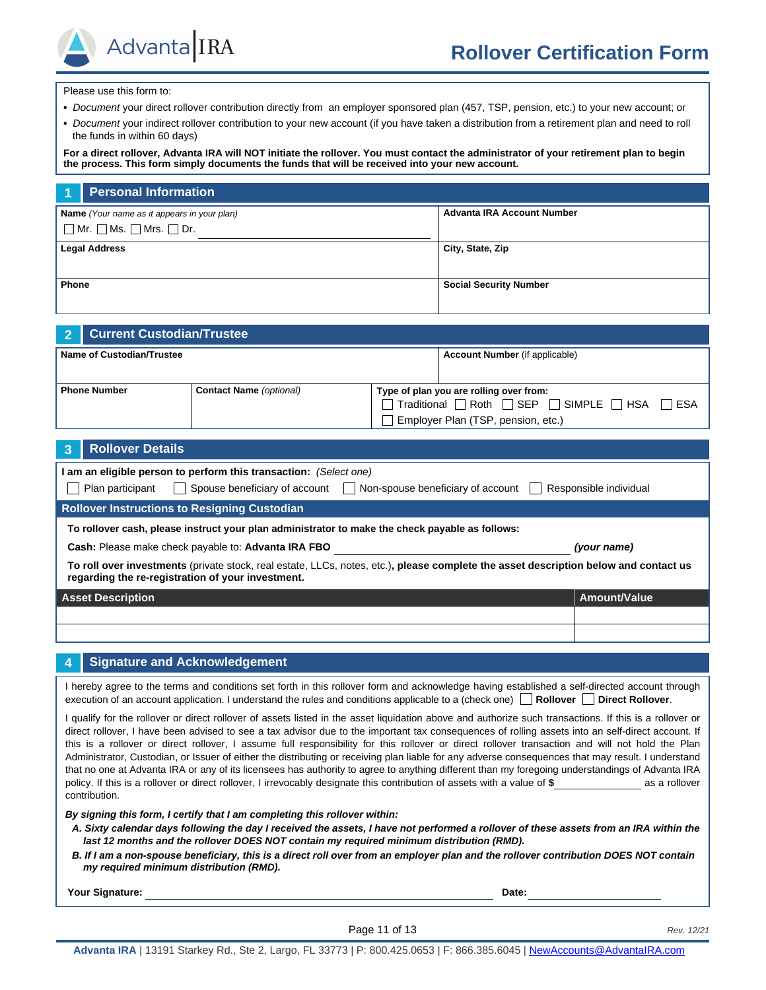Advanta IRA

Please use this form to:

- **•** *Document* your direct rollover contribution directly from an employer sponsored plan (457, TSP, pension, etc.) to your new account; or
- **•** *Document* your indirect rollover contribution to your new account (if you have taken a distribution from a retirement plan and need to roll the funds in within 60 days)

**For a direct rollover, Advanta IRA will NOT initiate the rollover. You must contact the administrator of your retirement plan to begin the process. This form simply documents the funds that will be received into your new account.**

|                                                                                             | <b>Personal Information</b> |                               |
|---------------------------------------------------------------------------------------------|-----------------------------|-------------------------------|
| Name (Your name as it appears in your plan)<br>$\Box$ Mr. $\Box$ Ms. $\Box$ Mrs. $\Box$ Dr. |                             | Advanta IRA Account Number    |
| <b>Legal Address</b>                                                                        |                             | City, State, Zip              |
| <b>Phone</b>                                                                                |                             | <b>Social Security Number</b> |

|                           | 2 Current Custodian/Trustee |                                |                                                                             |  |
|---------------------------|-----------------------------|--------------------------------|-----------------------------------------------------------------------------|--|
| Name of Custodian/Trustee |                             |                                | <b>Account Number</b> (if applicable)                                       |  |
|                           |                             |                                |                                                                             |  |
|                           | <b>Phone Number</b>         | <b>Contact Name</b> (optional) | Type of plan you are rolling over from:                                     |  |
|                           |                             |                                | $\Box$ Traditional $\Box$ Roth $\Box$ SEP $\Box$ SIMPLE $\Box$ HSA<br>IIESA |  |
|                           |                             |                                | Employer Plan (TSP, pension, etc.)                                          |  |

| <b>Rollover Details</b><br>౩                                                                                                                                                              |              |  |  |  |  |
|-------------------------------------------------------------------------------------------------------------------------------------------------------------------------------------------|--------------|--|--|--|--|
| am an eligible person to perform this transaction: (Select one)<br>Spouse beneficiary of account<br>Non-spouse beneficiary of account<br>Responsible individual<br>Plan participant       |              |  |  |  |  |
| <b>Rollover Instructions to Resigning Custodian</b>                                                                                                                                       |              |  |  |  |  |
| To rollover cash, please instruct your plan administrator to make the check payable as follows:                                                                                           |              |  |  |  |  |
| Cash: Please make check payable to: Advanta IRA FBO                                                                                                                                       | (your name)  |  |  |  |  |
| To roll over investments (private stock, real estate, LLCs, notes, etc.), please complete the asset description below and contact us<br>regarding the re-registration of your investment. |              |  |  |  |  |
| <b>Asset Description</b>                                                                                                                                                                  | Amount/Value |  |  |  |  |
|                                                                                                                                                                                           |              |  |  |  |  |
|                                                                                                                                                                                           |              |  |  |  |  |

### **4 Signature and Acknowledgement**

I hereby agree to the terms and conditions set forth in this rollover form and acknowledge having established a self-directed account through execution of an account application. I understand the rules and conditions applicable to a (check one) **Rollover** Direct Rollover.

I qualify for the rollover or direct rollover of assets listed in the asset liquidation above and authorize such transactions. If this is a rollover or direct rollover, I have been advised to see a tax advisor due to the important tax consequences of rolling assets into an self-direct account. If this is a rollover or direct rollover, I assume full responsibility for this rollover or direct rollover transaction and will not hold the Plan Administrator, Custodian, or Issuer of either the distributing or receiving plan liable for any adverse consequences that may result. I understand that no one at Advanta IRA or any of its licensees has authority to agree to anything different than my foregoing understandings of Advanta IRA policy. If this is a rollover or direct rollover, I irrevocably designate this contribution of assets with a value of \$ as a rollover contribution.

*By signing this form, I certify that I am completing this rollover within:*

- *A. Sixty calendar days following the day I received the assets, I have not performed a rollover of these assets from an IRA within the*  last 12 months and the rollover DOES NOT contain my required minimum distribution (RMD).
- *B. If I am a non-spouse beneficiary, this is a direct roll over from an employer plan and the rollover contribution DOES NOT contain my required minimum distribution (RMD).*

**Your Signature: Date:**

Page 11 of 13 *Rev. 12/21*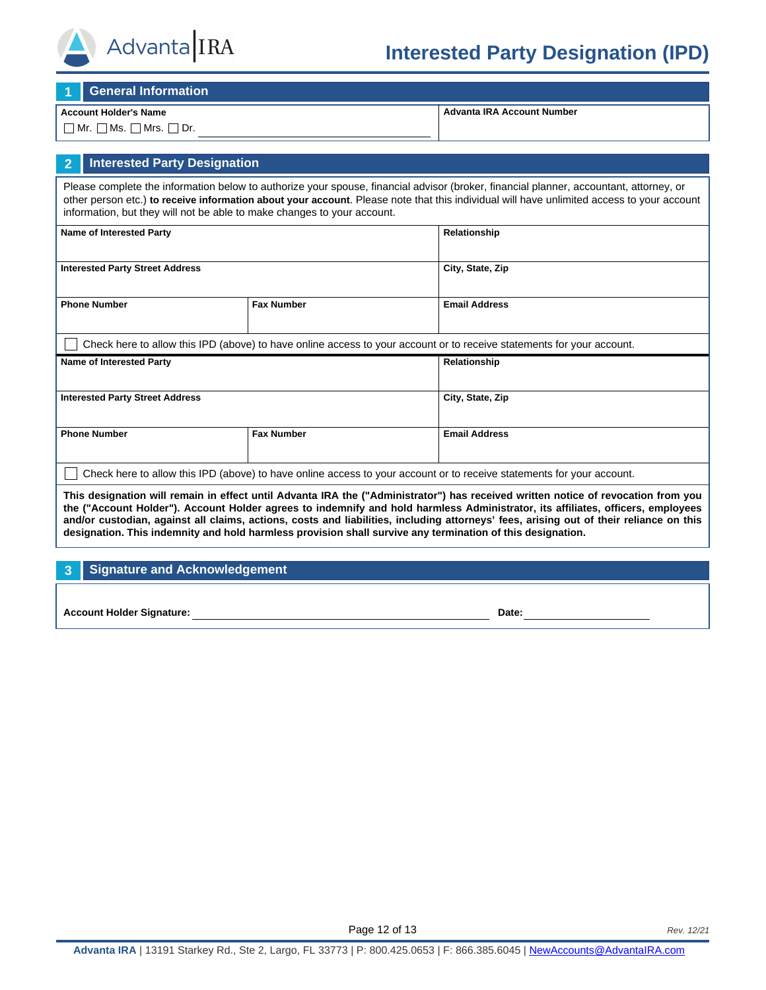

# **Interested Party Designation (IPD)**

**1 General Information**

#### **Account Holder's Name**

 $\Box$  Mr.  $\Box$  Ms.  $\Box$  Mrs.  $\Box$  Dr.

**Advanta IRA Account Number**

## **2 Interested Party Designation**

Please complete the information below to authorize your spouse, financial advisor (broker, financial planner, accountant, attorney, or other person etc.) **to receive information about your account**. Please note that this individual will have unlimited access to your account information, but they will not be able to make changes to your account.

| <b>Name of Interested Party</b>                                                                                       |                   | Relationship         |  |  |  |
|-----------------------------------------------------------------------------------------------------------------------|-------------------|----------------------|--|--|--|
| <b>Interested Party Street Address</b>                                                                                |                   | City, State, Zip     |  |  |  |
| <b>Phone Number</b>                                                                                                   | <b>Fax Number</b> | <b>Email Address</b> |  |  |  |
| Check here to allow this IPD (above) to have online access to your account or to receive statements for your account. |                   |                      |  |  |  |
| <b>Name of Interested Party</b>                                                                                       |                   | Relationship         |  |  |  |
| <b>Interested Party Street Address</b>                                                                                |                   | City, State, Zip     |  |  |  |
|                                                                                                                       |                   |                      |  |  |  |
| <b>Phone Number</b>                                                                                                   | <b>Fax Number</b> | <b>Email Address</b> |  |  |  |

**This designation will remain in effect until Advanta IRA the ("Administrator") has received written notice of revocation from you the ("Account Holder"). Account Holder agrees to indemnify and hold harmless Administrator, its affiliates, officers, employees and/or custodian, against all claims, actions, costs and liabilities, including attorneys' fees, arising out of their reliance on this designation. This indemnity and hold harmless provision shall survive any termination of this designation.**

## **3 Signature and Acknowledgement**

**Account Holder Signature: Date:**

Page 12 of 13 *Rev. 12/21*